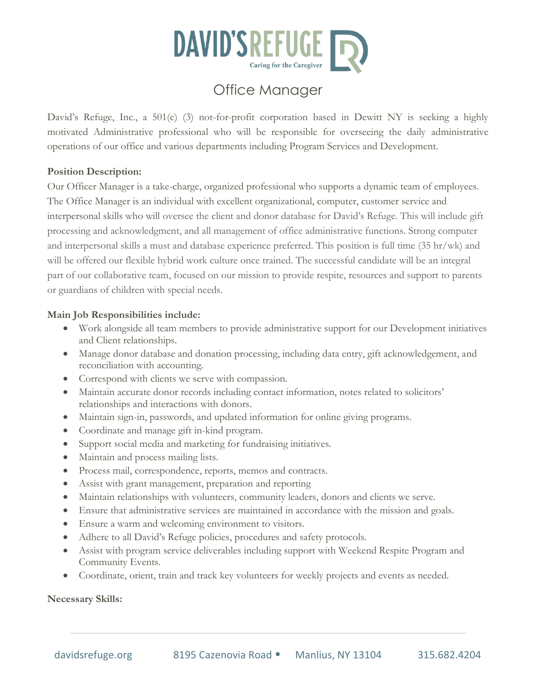

# Office Manager

David's Refuge, Inc., a 501(c) (3) not-for-profit corporation based in Dewitt NY is seeking a highly motivated Administrative professional who will be responsible for overseeing the daily administrative operations of our office and various departments including Program Services and Development.

#### **Position Description:**

Our Officer Manager is a take-charge, organized professional who supports a dynamic team of employees. The Office Manager is an individual with excellent organizational, computer, customer service and interpersonal skills who will oversee the client and donor database for David's Refuge. This will include gift processing and acknowledgment, and all management of office administrative functions. Strong computer and interpersonal skills a must and database experience preferred. This position is full time (35 hr/wk) and will be offered our flexible hybrid work culture once trained. The successful candidate will be an integral part of our collaborative team, focused on our mission to provide respite, resources and support to parents or guardians of children with special needs.

#### **Main Job Responsibilities include:**

- Work alongside all team members to provide administrative support for our Development initiatives and Client relationships.
- Manage donor database and donation processing, including data entry, gift acknowledgement, and reconciliation with accounting.
- Correspond with clients we serve with compassion.
- Maintain accurate donor records including contact information, notes related to solicitors' relationships and interactions with donors.
- Maintain sign-in, passwords, and updated information for online giving programs.
- Coordinate and manage gift in-kind program.
- Support social media and marketing for fundraising initiatives.
- Maintain and process mailing lists.
- Process mail, correspondence, reports, memos and contracts.
- Assist with grant management, preparation and reporting
- Maintain relationships with volunteers, community leaders, donors and clients we serve.
- Ensure that administrative services are maintained in accordance with the mission and goals.
- Ensure a warm and welcoming environment to visitors.
- Adhere to all David's Refuge policies, procedures and safety protocols.
- Assist with program service deliverables including support with Weekend Respite Program and Community Events.
- Coordinate, orient, train and track key volunteers for weekly projects and events as needed.

**Necessary Skills:**

 $\overline{a}$